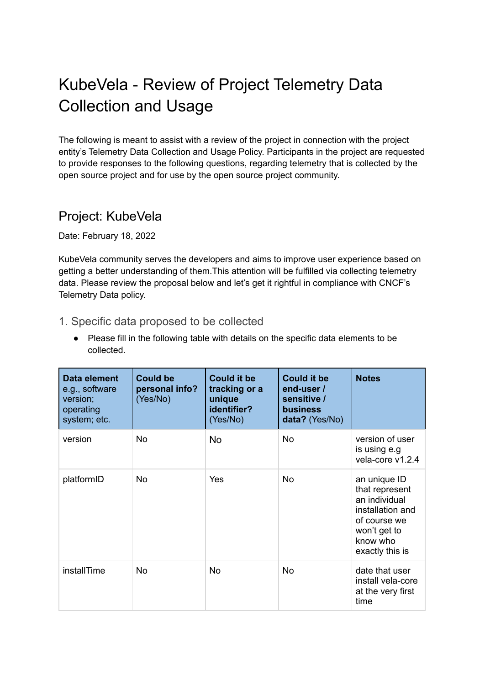# KubeVela - Review of Project Telemetry Data Collection and Usage

The following is meant to assist with a review of the project in connection with the project entity's Telemetry Data Collection and Usage Policy. Participants in the project are requested to provide responses to the following questions, regarding telemetry that is collected by the open source project and for use by the open source project community.

### Project: KubeVela

Date: February 18, 2022

KubeVela community serves the developers and aims to improve user experience based on getting a better understanding of them.This attention will be fulfilled via collecting telemetry data. Please review the proposal below and let's get it rightful in compliance with CNCF's Telemetry Data policy.

### 1. Specific data proposed to be collected

● Please fill in the following table with details on the specific data elements to be collected.

| Data element<br>e.g., software<br>version;<br>operating<br>system; etc. | <b>Could be</b><br>personal info?<br>(Yes/No) | <b>Could it be</b><br>tracking or a<br>unique<br>identifier?<br>(Yes/No) | <b>Could it be</b><br>end-user/<br>sensitive /<br><b>business</b><br>data? (Yes/No) | <b>Notes</b>                                                                                                                       |
|-------------------------------------------------------------------------|-----------------------------------------------|--------------------------------------------------------------------------|-------------------------------------------------------------------------------------|------------------------------------------------------------------------------------------------------------------------------------|
| version                                                                 | <b>No</b>                                     | <b>No</b>                                                                | <b>No</b>                                                                           | version of user<br>is using e.g<br>vela-core v1.2.4                                                                                |
| platformID                                                              | <b>No</b>                                     | Yes                                                                      | <b>No</b>                                                                           | an unique ID<br>that represent<br>an individual<br>installation and<br>of course we<br>won't get to<br>know who<br>exactly this is |
| installTime                                                             | <b>No</b>                                     | <b>No</b>                                                                | <b>No</b>                                                                           | date that user<br>install vela-core<br>at the very first<br>time                                                                   |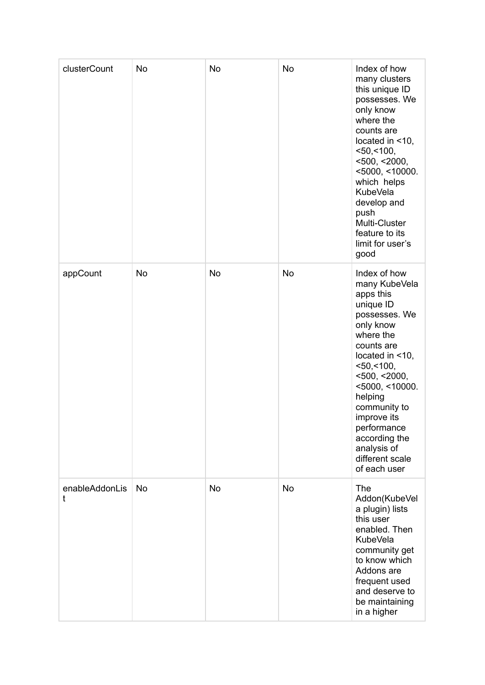| clusterCount        | <b>No</b> | <b>No</b> | <b>No</b> | Index of how<br>many clusters<br>this unique ID<br>possesses. We<br>only know<br>where the<br>counts are<br>located in <10,<br>$<$ 50, $<$ 100,<br>$<$ 500, $<$ 2000,<br>$<$ 5000, $<$ 10000.<br>which helps<br><b>KubeVela</b><br>develop and<br>push<br>Multi-Cluster<br>feature to its<br>limit for user's<br>good             |
|---------------------|-----------|-----------|-----------|-----------------------------------------------------------------------------------------------------------------------------------------------------------------------------------------------------------------------------------------------------------------------------------------------------------------------------------|
| appCount            | <b>No</b> | <b>No</b> | <b>No</b> | Index of how<br>many KubeVela<br>apps this<br>unique ID<br>possesses. We<br>only know<br>where the<br>counts are<br>located in <10,<br>$<$ 50, $<$ 100,<br>$<$ 500, $<$ 2000,<br>$<$ 5000, $<$ 10000.<br>helping<br>community to<br>improve its<br>performance<br>according the<br>analysis of<br>different scale<br>of each user |
| enableAddonLis<br>t | <b>No</b> | <b>No</b> | <b>No</b> | <b>The</b><br>Addon(KubeVel<br>a plugin) lists<br>this user<br>enabled. Then<br><b>KubeVela</b><br>community get<br>to know which<br>Addons are<br>frequent used<br>and deserve to<br>be maintaining<br>in a higher                                                                                                               |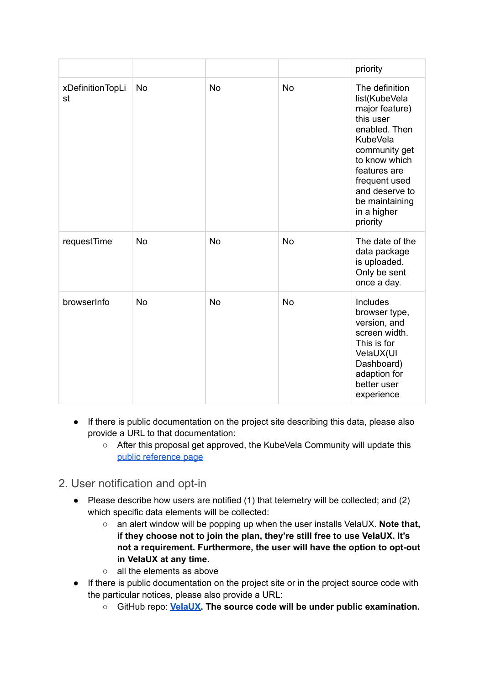|                        |           |           |           | priority                                                                                                                                                                                                                             |
|------------------------|-----------|-----------|-----------|--------------------------------------------------------------------------------------------------------------------------------------------------------------------------------------------------------------------------------------|
| xDefinitionTopLi<br>st | <b>No</b> | <b>No</b> | <b>No</b> | The definition<br>list(KubeVela<br>major feature)<br>this user<br>enabled. Then<br><b>KubeVela</b><br>community get<br>to know which<br>features are<br>frequent used<br>and deserve to<br>be maintaining<br>in a higher<br>priority |
| requestTime            | <b>No</b> | <b>No</b> | <b>No</b> | The date of the<br>data package<br>is uploaded.<br>Only be sent<br>once a day.                                                                                                                                                       |
| browserInfo            | <b>No</b> | <b>No</b> | <b>No</b> | Includes<br>browser type,<br>version, and<br>screen width.<br>This is for<br>VelaUX(UI<br>Dashboard)<br>adaption for<br>better user<br>experience                                                                                    |

- If there is public documentation on the project site describing this data, please also provide a URL to that documentation:
	- After this proposal get approved, the KubeVela Community will update this public [reference](https://kubevela.io/docs/reference/user-improvement-plan) page

### 2. User notification and opt-in

- Please describe how users are notified (1) that telemetry will be collected; and (2) which specific data elements will be collected:
	- an alert window will be popping up when the user installs VelaUX. **Note that, if they choose not to join the plan, they're still free to use VelaUX. It's not a requirement. Furthermore, the user will have the option to opt-out in VelaUX at any time.**
	- all the elements as above
- If there is public documentation on the project site or in the project source code with the particular notices, please also provide a URL:
	- GitHub repo: **[VelaUX.](https://github.com/oam-dev/velaux) The source code will be under public examination.**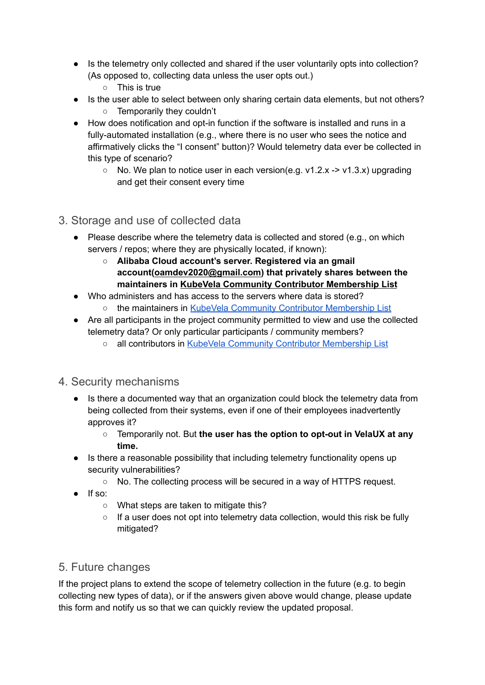- Is the telemetry only collected and shared if the user voluntarily opts into collection? (As opposed to, collecting data unless the user opts out.)
	- This is true
- Is the user able to select between only sharing certain data elements, but not others? ○ Temporarily they couldn't
- How does notification and opt-in function if the software is installed and runs in a fully-automated installation (e.g., where there is no user who sees the notice and affirmatively clicks the "I consent" button)? Would telemetry data ever be collected in this type of scenario?
	- No. We plan to notice user in each version(e.g. v1.2.x -> v1.3.x) upgrading and get their consent every time
- 3. Storage and use of collected data
	- Please describe where the telemetry data is collected and stored (e.g., on which servers / repos; where they are physically located, if known):
		- **Alibaba Cloud account's server. Registered via an gmail account([oamdev2020@gmail.com\)](mailto:oamdev2020@gmail.com) that privately shares between the maintainers in KubeVela Community Contributor [Membership](https://github.com/oam-dev/kubevela/blob/b54ddf4c1cdd3b1dd95880f6b4b881f7f2a5b2f3/OWNERS_ALIASES#L19) List**
	- Who administers and has access to the servers where data is stored? the maintainers in KubeVela Community Contributor [Membership](https://github.com/oam-dev/kubevela/blob/b54ddf4c1cdd3b1dd95880f6b4b881f7f2a5b2f3/OWNERS_ALIASES#L19) List
	- Are all participants in the project community permitted to view and use the collected telemetry data? Or only particular participants / community members?
		- all contributors in KubeVela Community Contributor [Membership](https://github.com/oam-dev/kubevela/blob/master/OWNERS_ALIASES) List

#### 4. Security mechanisms

- Is there a documented way that an organization could block the telemetry data from being collected from their systems, even if one of their employees inadvertently approves it?
	- Temporarily not. But **the user has the option to opt-out in VelaUX at any time.**
- Is there a reasonable possibility that including telemetry functionality opens up security vulnerabilities?
	- No. The collecting process will be secured in a way of HTTPS request.
- If so:
	- What steps are taken to mitigate this?
	- If a user does not opt into telemetry data collection, would this risk be fully mitigated?

### 5. Future changes

If the project plans to extend the scope of telemetry collection in the future (e.g. to begin collecting new types of data), or if the answers given above would change, please update this form and notify us so that we can quickly review the updated proposal.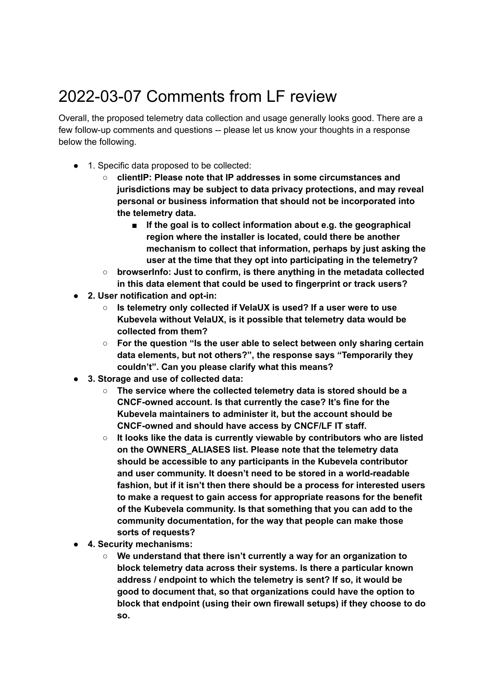# 2022-03-07 Comments from LF review

Overall, the proposed telemetry data collection and usage generally looks good. There are a few follow-up comments and questions -- please let us know your thoughts in a response below the following.

- 1. Specific data proposed to be collected:
	- **○ clientIP: Please note that IP addresses in some circumstances and jurisdictions may be subject to data privacy protections, and may reveal personal or business information that should not be incorporated into the telemetry data.**
		- **■ If the goal is to collect information about e.g. the geographical region where the installer is located, could there be another mechanism to collect that information, perhaps by just asking the user at the time that they opt into participating in the telemetry?**
	- **○ browserInfo: Just to confirm, is there anything in the metadata collected in this data element that could be used to fingerprint or track users?**
- **2. User notification and opt-in:**
	- **Is telemetry only collected if VelaUX is used? If a user were to use Kubevela without VelaUX, is it possible that telemetry data would be collected from them?**
	- **For the question "Is the user able to select between only sharing certain data elements, but not others?", the response says "Temporarily they couldn't". Can you please clarify what this means?**
- **3. Storage and use of collected data:**
	- **The service where the collected telemetry data is stored should be a CNCF-owned account. Is that currently the case? It's fine for the Kubevela maintainers to administer it, but the account should be CNCF-owned and should have access by CNCF/LF IT staff.**
	- **It looks like the data is currently viewable by contributors who are listed on the OWNERS\_ALIASES list. Please note that the telemetry data should be accessible to any participants in the Kubevela contributor and user community. It doesn't need to be stored in a world-readable fashion, but if it isn't then there should be a process for interested users to make a request to gain access for appropriate reasons for the benefit of the Kubevela community. Is that something that you can add to the community documentation, for the way that people can make those sorts of requests?**
- **4. Security mechanisms:**
	- **We understand that there isn't currently a way for an organization to block telemetry data across their systems. Is there a particular known address / endpoint to which the telemetry is sent? If so, it would be good to document that, so that organizations could have the option to block that endpoint (using their own firewall setups) if they choose to do so.**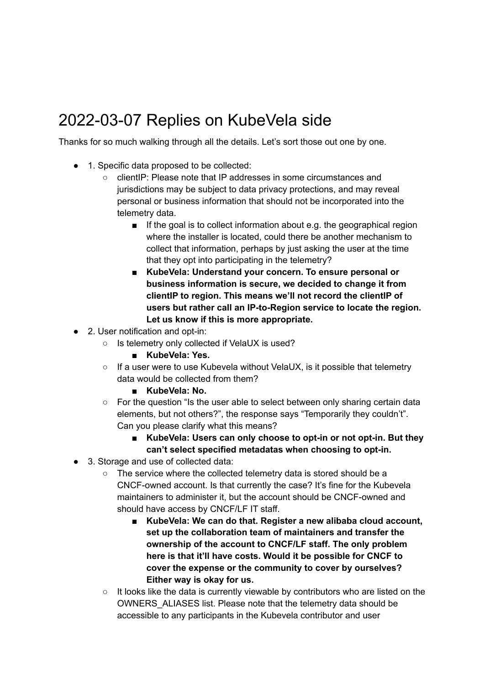# 2022-03-07 Replies on KubeVela side

Thanks for so much walking through all the details. Let's sort those out one by one.

- 1. Specific data proposed to be collected:
	- clientIP: Please note that IP addresses in some circumstances and jurisdictions may be subject to data privacy protections, and may reveal personal or business information that should not be incorporated into the telemetry data.
		- If the goal is to collect information about e.g. the geographical region where the installer is located, could there be another mechanism to collect that information, perhaps by just asking the user at the time that they opt into participating in the telemetry?
		- **■ KubeVela: Understand your concern. To ensure personal or business information is secure, we decided to change it from clientIP to region. This means we'll not record the clientIP of users but rather call an IP-to-Region service to locate the region. Let us know if this is more appropriate.**
- 2. User notification and opt-in:
	- Is telemetry only collected if VelaUX is used?
		- **■ KubeVela: Yes.**
	- If a user were to use Kubevela without VelaUX, is it possible that telemetry data would be collected from them?
		- **KubeVela: No.**
	- For the question "Is the user able to select between only sharing certain data elements, but not others?", the response says "Temporarily they couldn't". Can you please clarify what this means?
		- **KubeVela: Users can only choose to opt-in or not opt-in. But they can't select specified metadatas when choosing to opt-in.**
- 3. Storage and use of collected data:
	- The service where the collected telemetry data is stored should be a CNCF-owned account. Is that currently the case? It's fine for the Kubevela maintainers to administer it, but the account should be CNCF-owned and should have access by CNCF/LF IT staff.
		- **KubeVela: We can do that. Register a new alibaba cloud account, set up the collaboration team of maintainers and transfer the ownership of the account to CNCF/LF staff. The only problem here is that it'll have costs. Would it be possible for CNCF to cover the expense or the community to cover by ourselves? Either way is okay for us.**
	- It looks like the data is currently viewable by contributors who are listed on the OWNERS\_ALIASES list. Please note that the telemetry data should be accessible to any participants in the Kubevela contributor and user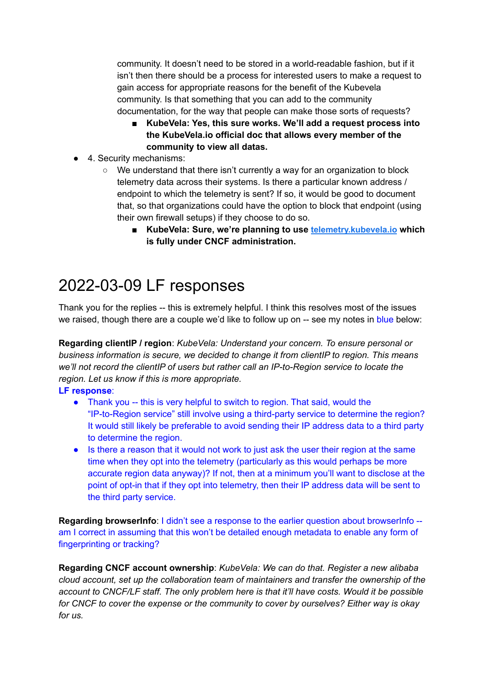community. It doesn't need to be stored in a world-readable fashion, but if it isn't then there should be a process for interested users to make a request to gain access for appropriate reasons for the benefit of the Kubevela community. Is that something that you can add to the community documentation, for the way that people can make those sorts of requests?

- **KubeVela: Yes, this sure works. We'll add a request process into the KubeVela.io official doc that allows every member of the community to view all datas.**
- 4. Security mechanisms:
	- We understand that there isn't currently a way for an organization to block telemetry data across their systems. Is there a particular known address / endpoint to which the telemetry is sent? If so, it would be good to document that, so that organizations could have the option to block that endpoint (using their own firewall setups) if they choose to do so.
		- **KubeVela: Sure, we're planning to use [telemetry.kubevela.io](http://telemetry.kubevela.io) which is fully under CNCF administration.**

## 2022-03-09 LF responses

Thank you for the replies -- this is extremely helpful. I think this resolves most of the issues we raised, though there are a couple we'd like to follow up on -- see my notes in blue below:

**Regarding clientIP / region**: *KubeVela: Understand your concern. To ensure personal or business information is secure, we decided to change it from clientIP to region. This means we'll not record the clientIP of users but rather call an IP-to-Region service to locate the region. Let us know if this is more appropriate.*

#### **LF response**:

- Thank you -- this is very helpful to switch to region. That said, would the "IP-to-Region service" still involve using a third-party service to determine the region? It would still likely be preferable to avoid sending their IP address data to a third party to determine the region.
- Is there a reason that it would not work to just ask the user their region at the same time when they opt into the telemetry (particularly as this would perhaps be more accurate region data anyway)? If not, then at a minimum you'll want to disclose at the point of opt-in that if they opt into telemetry, then their IP address data will be sent to the third party service.

**Regarding browserInfo**: I didn't see a response to the earlier question about browserInfo - am I correct in assuming that this won't be detailed enough metadata to enable any form of fingerprinting or tracking?

**Regarding CNCF account ownership**: *KubeVela: We can do that. Register a new alibaba cloud account, set up the collaboration team of maintainers and transfer the ownership of the account to CNCF/LF staff. The only problem here is that it'll have costs. Would it be possible for CNCF to cover the expense or the community to cover by ourselves? Either way is okay for us.*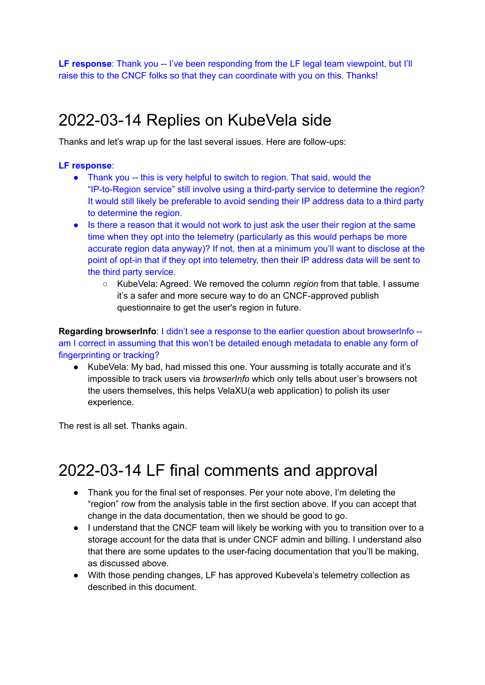**LF response**: Thank you -- I've been responding from the LF legal team viewpoint, but I'll raise this to the CNCF folks so that they can coordinate with you on this. Thanks!

### 2022-03-14 Replies on KubeVela side

Thanks and let's wrap up for the last several issues. Here are follow-ups:

#### **LF response**:

- Thank you -- this is very helpful to switch to region. That said, would the "IP-to-Region service" still involve using a third-party service to determine the region? It would still likely be preferable to avoid sending their IP address data to a third party to determine the region.
- Is there a reason that it would not work to just ask the user their region at the same time when they opt into the telemetry (particularly as this would perhaps be more accurate region data anyway)? If not, then at a minimum you'll want to disclose at the point of opt-in that if they opt into telemetry, then their IP address data will be sent to the third party service.
	- KubeVela: Agreed. We removed the column *region* from that table. I assume it's a safer and more secure way to do an CNCF-approved publish questionnaire to get the user's region in future.

**Regarding browserInfo**: I didn't see a response to the earlier question about browserInfo - am I correct in assuming that this won't be detailed enough metadata to enable any form of fingerprinting or tracking?

● KubeVela: My bad, had missed this one. Your aussming is totally accurate and it's impossible to track users via *browserInfo* which only tells about user's browsers not the users themselves, this helps VelaXU(a web application) to polish its user experience.

The rest is all set. Thanks again.

### 2022-03-14 LF final comments and approval

- Thank you for the final set of responses. Per your note above, I'm deleting the "region" row from the analysis table in the first section above. If you can accept that change in the data documentation, then we should be good to go.
- I understand that the CNCF team will likely be working with you to transition over to a storage account for the data that is under CNCF admin and billing. I understand also that there are some updates to the user-facing documentation that you'll be making, as discussed above.
- With those pending changes, LF has approved Kubevela's telemetry collection as described in this document.